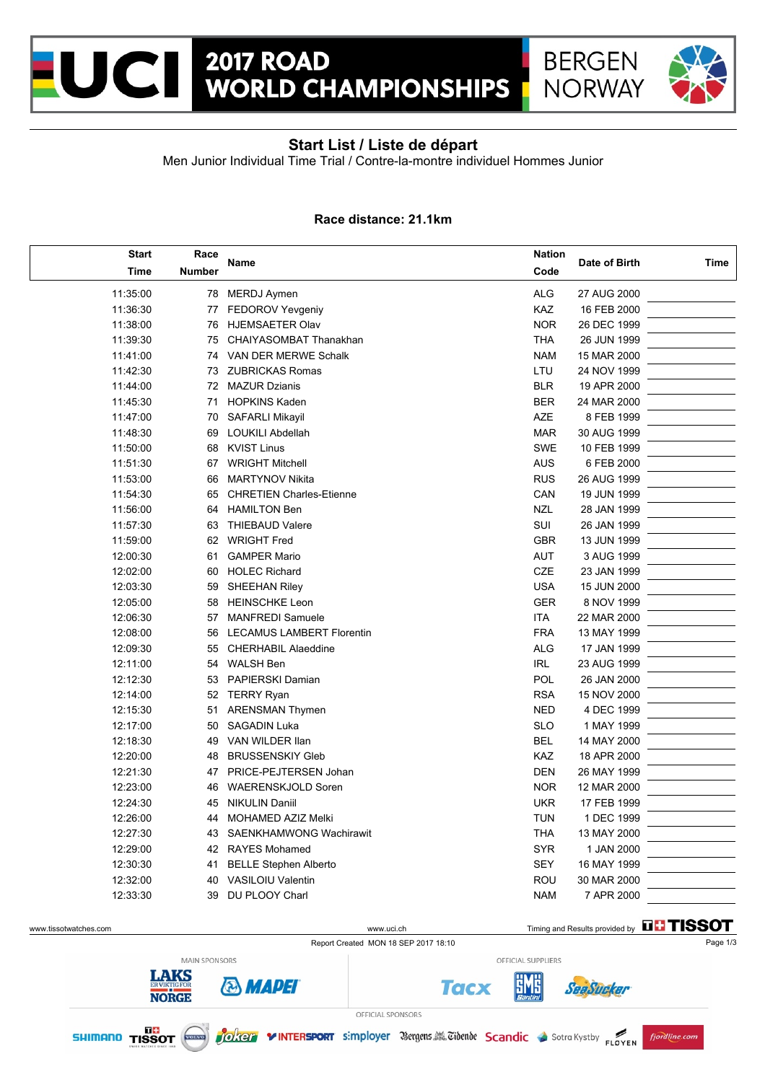



## **Start List / Liste de départ**

Men Junior Individual Time Trial / Contre-la-montre individuel Hommes Junior

#### **Race distance: 21.1km**

| <b>Start</b> | Race   | Name                             |            | Date of Birth |      |
|--------------|--------|----------------------------------|------------|---------------|------|
| <b>Time</b>  | Number |                                  |            |               | Time |
| 11:35:00     | 78     | <b>MERDJ Aymen</b>               | <b>ALG</b> | 27 AUG 2000   |      |
| 11:36:30     | 77     | <b>FEDOROV Yevgeniy</b>          | KAZ        | 16 FEB 2000   |      |
| 11:38:00     | 76     | <b>HJEMSAETER Olav</b>           | <b>NOR</b> | 26 DEC 1999   |      |
| 11:39:30     | 75     | CHAIYASOMBAT Thanakhan           | <b>THA</b> | 26 JUN 1999   |      |
| 11:41:00     | 74     | VAN DER MERWE Schalk             | <b>NAM</b> | 15 MAR 2000   |      |
| 11:42:30     | 73     | <b>ZUBRICKAS Romas</b>           | LTU        | 24 NOV 1999   |      |
| 11:44:00     | 72     | <b>MAZUR Dzianis</b>             | <b>BLR</b> | 19 APR 2000   |      |
| 11:45:30     | 71     | <b>HOPKINS Kaden</b>             | <b>BER</b> | 24 MAR 2000   |      |
| 11:47:00     | 70     | <b>SAFARLI Mikayil</b>           | <b>AZE</b> | 8 FEB 1999    |      |
| 11:48:30     | 69     | <b>LOUKILI Abdellah</b>          | <b>MAR</b> | 30 AUG 1999   |      |
| 11:50:00     | 68     | <b>KVIST Linus</b>               | <b>SWE</b> | 10 FEB 1999   |      |
| 11:51:30     | 67     | <b>WRIGHT Mitchell</b>           | <b>AUS</b> | 6 FEB 2000    |      |
| 11:53:00     | 66     | <b>MARTYNOV Nikita</b>           | <b>RUS</b> | 26 AUG 1999   |      |
| 11:54:30     | 65     | <b>CHRETIEN Charles-Etienne</b>  | CAN        | 19 JUN 1999   |      |
| 11:56:00     | 64     | <b>HAMILTON Ben</b>              | <b>NZL</b> | 28 JAN 1999   |      |
| 11:57:30     | 63     | <b>THIEBAUD Valere</b>           | SUI        | 26 JAN 1999   |      |
| 11:59:00     | 62     | <b>WRIGHT Fred</b>               | <b>GBR</b> | 13 JUN 1999   |      |
| 12:00:30     | 61     | <b>GAMPER Mario</b>              | AUT        | 3 AUG 1999    |      |
| 12:02:00     | 60     | <b>HOLEC Richard</b>             | CZE        | 23 JAN 1999   |      |
| 12:03:30     | 59     | <b>SHEEHAN Riley</b>             | <b>USA</b> | 15 JUN 2000   |      |
| 12:05:00     | 58     | <b>HEINSCHKE Leon</b>            | <b>GER</b> | 8 NOV 1999    |      |
| 12:06:30     | 57     | <b>MANFREDI Samuele</b>          | <b>ITA</b> | 22 MAR 2000   |      |
| 12:08:00     | 56     | <b>LECAMUS LAMBERT Florentin</b> | <b>FRA</b> | 13 MAY 1999   |      |
| 12:09:30     | 55     | <b>CHERHABIL Alaeddine</b>       | <b>ALG</b> | 17 JAN 1999   |      |
| 12:11:00     | 54     | <b>WALSH Ben</b>                 | IRL        | 23 AUG 1999   |      |
| 12:12:30     | 53     | PAPIERSKI Damian                 | <b>POL</b> | 26 JAN 2000   |      |
| 12:14:00     | 52     | <b>TERRY Ryan</b>                | <b>RSA</b> | 15 NOV 2000   |      |
| 12:15:30     | 51     | <b>ARENSMAN Thymen</b>           | <b>NED</b> | 4 DEC 1999    |      |
| 12:17:00     | 50     | <b>SAGADIN Luka</b>              | <b>SLO</b> | 1 MAY 1999    |      |
| 12:18:30     | 49     | VAN WILDER Ilan                  | <b>BEL</b> | 14 MAY 2000   |      |
| 12:20:00     | 48     | <b>BRUSSENSKIY Gleb</b>          | KAZ        | 18 APR 2000   |      |
| 12:21:30     | 47     | PRICE-PEJTERSEN Johan            | <b>DEN</b> | 26 MAY 1999   |      |
| 12:23:00     | 46     | <b>WAERENSKJOLD Soren</b>        | <b>NOR</b> | 12 MAR 2000   |      |
| 12:24:30     | 45     | <b>NIKULIN Daniil</b>            | <b>UKR</b> | 17 FEB 1999   |      |
| 12:26:00     | 44     | <b>MOHAMED AZIZ Melki</b>        | <b>TUN</b> | 1 DEC 1999    |      |
| 12:27:30     | 43     | SAENKHAMWONG Wachirawit          | <b>THA</b> | 13 MAY 2000   |      |
| 12:29:00     | 42     | <b>RAYES Mohamed</b>             | <b>SYR</b> | 1 JAN 2000    |      |
| 12:30:30     | 41     | <b>BELLE Stephen Alberto</b>     | <b>SEY</b> | 16 MAY 1999   |      |
| 12:32:00     | 40     | <b>VASILOIU Valentin</b>         | <b>ROU</b> | 30 MAR 2000   |      |
| 12:33:30     | 39     | DU PLOOY Charl                   | <b>NAM</b> | 7 APR 2000    |      |

Report Created MON 18 SEP 2017 18:10 Page 1/3

www.tissotwatches.com www.uci.ch Timing and Results provided by THSSOT

SeaSucker





OFFICIAL SPONSORS



**Tacx** 

OFFICIAL SUPPLIERS

5M6

fjordline.com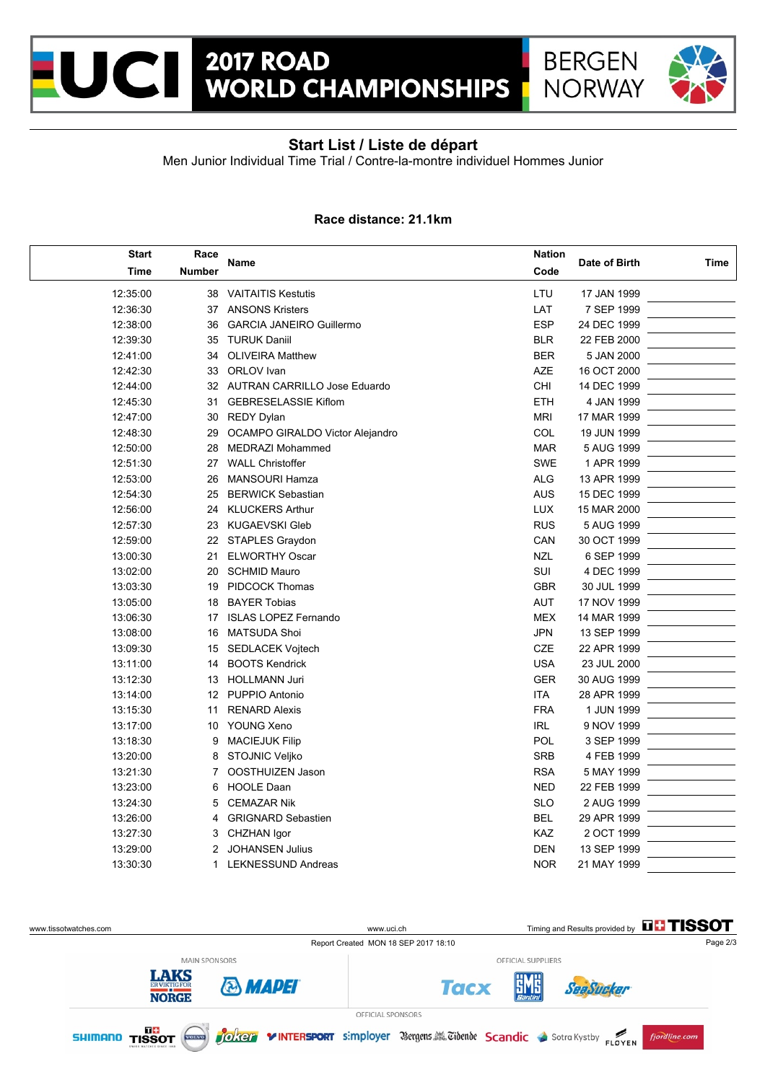



# **Start List / Liste de départ**

Men Junior Individual Time Trial / Contre-la-montre individuel Hommes Junior

#### **Race distance: 21.1km**

| <b>Start</b> | Race          |                                 | <b>Nation</b> |               |      |
|--------------|---------------|---------------------------------|---------------|---------------|------|
| <b>Time</b>  | <b>Number</b> | Name                            |               | Date of Birth | Time |
| 12:35:00     |               | 38 VAITAITIS Kestutis           | LTU           | 17 JAN 1999   |      |
| 12:36:30     |               | 37 ANSONS Kristers              | LAT           | 7 SEP 1999    |      |
| 12:38:00     | 36            | <b>GARCIA JANEIRO Guillermo</b> | <b>ESP</b>    | 24 DEC 1999   |      |
| 12:39:30     | 35            | <b>TURUK Daniil</b>             | <b>BLR</b>    | 22 FEB 2000   |      |
| 12:41:00     | 34            | <b>OLIVEIRA Matthew</b>         | <b>BER</b>    | 5 JAN 2000    |      |
| 12:42:30     | 33            | ORLOV Ivan                      | <b>AZE</b>    | 16 OCT 2000   |      |
| 12:44:00     |               | 32 AUTRAN CARRILLO Jose Eduardo | <b>CHI</b>    | 14 DEC 1999   |      |
| 12:45:30     | 31            | <b>GEBRESELASSIE Kiflom</b>     | <b>ETH</b>    | 4 JAN 1999    |      |
| 12:47:00     | 30            | <b>REDY Dylan</b>               | <b>MRI</b>    | 17 MAR 1999   |      |
| 12:48:30     | 29            | OCAMPO GIRALDO Victor Alejandro | COL           | 19 JUN 1999   |      |
| 12:50:00     | 28            | <b>MEDRAZI Mohammed</b>         | <b>MAR</b>    | 5 AUG 1999    |      |
| 12:51:30     | 27            | <b>WALL Christoffer</b>         | <b>SWE</b>    | 1 APR 1999    |      |
| 12:53:00     | 26            | <b>MANSOURI Hamza</b>           | <b>ALG</b>    | 13 APR 1999   |      |
| 12:54:30     | 25            | <b>BERWICK Sebastian</b>        | <b>AUS</b>    | 15 DEC 1999   |      |
| 12:56:00     | 24            | <b>KLUCKERS Arthur</b>          | <b>LUX</b>    | 15 MAR 2000   |      |
| 12:57:30     | 23            | <b>KUGAEVSKI Gleb</b>           | <b>RUS</b>    | 5 AUG 1999    |      |
| 12:59:00     |               | 22 STAPLES Graydon              | CAN           | 30 OCT 1999   |      |
| 13:00:30     | 21            | <b>ELWORTHY Oscar</b>           | <b>NZL</b>    | 6 SEP 1999    |      |
| 13:02:00     | 20            | <b>SCHMID Mauro</b>             | SUI           | 4 DEC 1999    |      |
| 13:03:30     | 19            | <b>PIDCOCK Thomas</b>           | <b>GBR</b>    | 30 JUL 1999   |      |
| 13:05:00     | 18            | <b>BAYER Tobias</b>             | <b>AUT</b>    | 17 NOV 1999   |      |
| 13:06:30     | 17            | <b>ISLAS LOPEZ Fernando</b>     | <b>MEX</b>    | 14 MAR 1999   |      |
| 13:08:00     | 16            | <b>MATSUDA Shoi</b>             | JPN           | 13 SEP 1999   |      |
| 13:09:30     | 15            | <b>SEDLACEK Vojtech</b>         | CZE           | 22 APR 1999   |      |
| 13:11:00     | 14            | <b>BOOTS Kendrick</b>           | <b>USA</b>    | 23 JUL 2000   |      |
| 13:12:30     | 13            | <b>HOLLMANN Juri</b>            | <b>GER</b>    | 30 AUG 1999   |      |
| 13:14:00     | 12            | PUPPIO Antonio                  | <b>ITA</b>    | 28 APR 1999   |      |
| 13:15:30     | 11            | <b>RENARD Alexis</b>            | <b>FRA</b>    | 1 JUN 1999    |      |
| 13:17:00     | 10            | YOUNG Xeno                      | <b>IRL</b>    | 9 NOV 1999    |      |
| 13:18:30     | 9             | <b>MACIEJUK Filip</b>           | POL           | 3 SEP 1999    |      |
| 13:20:00     | 8             | STOJNIC Veljko                  | <b>SRB</b>    | 4 FEB 1999    |      |
| 13:21:30     | 7             | OOSTHUIZEN Jason                | <b>RSA</b>    | 5 MAY 1999    |      |
| 13:23:00     | 6             | <b>HOOLE Daan</b>               | <b>NED</b>    | 22 FEB 1999   |      |
| 13:24:30     | 5             | <b>CEMAZAR Nik</b>              | <b>SLO</b>    | 2 AUG 1999    |      |
| 13:26:00     | 4             | <b>GRIGNARD Sebastien</b>       | <b>BEL</b>    | 29 APR 1999   |      |
| 13:27:30     | 3             | CHZHAN Igor                     | KAZ           | 2 OCT 1999    |      |
| 13:29:00     | 2             | <b>JOHANSEN Julius</b>          | <b>DEN</b>    | 13 SEP 1999   |      |
| 13:30:30     | 1             | <b>LEKNESSUND Andreas</b>       | <b>NOR</b>    | 21 MAY 1999   |      |